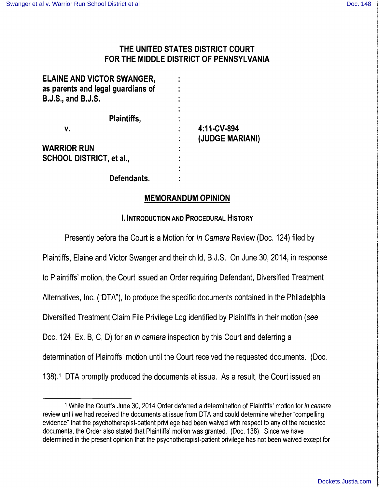## THE UNITED STATES DISTRICT COURT FOR THE MIDDLE DISTRICT OF PENNSYLVANIA

| <b>ELAINE AND VICTOR SWANGER,</b><br>as parents and legal guardians of<br><b>B.J.S., and B.J.S.</b> |                      |
|-----------------------------------------------------------------------------------------------------|----------------------|
| Plaintiffs,                                                                                         | ٠                    |
| ۷.                                                                                                  | 4:11-CV-894          |
| <b>WARRIOR RUN</b>                                                                                  | (JUDGE MARIANI)<br>٠ |
| <b>SCHOOL DISTRICT, et al.,</b>                                                                     | ٠<br>٠               |
|                                                                                                     |                      |
| Defendants.                                                                                         |                      |

### MEMORANDUM OPINION

### I. INTRODUCTION AND PROCEDURAL HISTORY

Presently before the Court is a Motion for In Camera Review (Doc. 124) filed by Plaintiffs, Elaine and Victor Swanger and their child, B.J.S. On June 30,2014, in response to Plaintiffs' motion, the Court issued an Order requiring Defendant, Diversified Treatment Alternatives, Inc. ("DTA"), to produce the specific documents contained in the Philadelphia Diversified Treatment Claim File Privilege Log identified by Plaintiffs in their motion (see Doc. 124, Ex. B, C, D) for an *in camera* inspection by this Court and deferring a determination of Plaintiffs' motion until the Court received the requested documents. (Doc. 138).1 DTA promptly produced the documents at issue. As a result, the Court issued an

<sup>&</sup>lt;sup>1</sup> While the Court's June 30, 2014 Order deferred a determination of Plaintiffs' motion for in camera review until we had received the documents at issue from DTA and could determine whether "compelling evidence" that the psychotherapist-patient privilege had been waived with respect to any of the requested documents, the Order also stated that Plaintiffs' motion was granted. (Doc. 138). Since we have determined in the present opinion that the psychotherapist-patient privilege has not been waived except for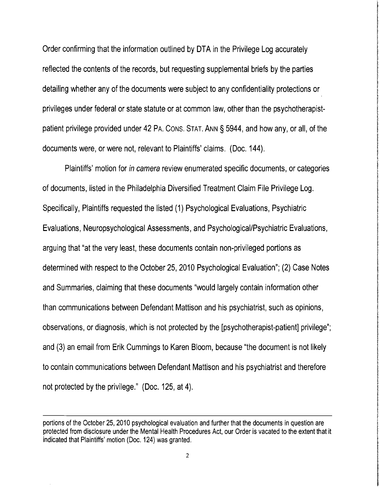Order confirming that the information outlined by DTA in the Privilege Log accurately reflected the contents of the records, but requesting supplemental briefs by the parties detailing whether any of the documents were subject to any confidentiality protections or privileges under federal or state statute or at common law, other than the psychotherapistpatient privilege provided under 42 PA. CONS. STAT. ANN § 5944, and how any, or all, of the documents were, or were not, relevant to Plaintiffs' claims. (Doc. 144).

Plaintiffs' motion for in camera review enumerated specific documents, or categories of documents, listed in the Philadelphia Diversified Treatment Claim File Privilege Log. Specifically, Plaintiffs requested the listed (1) Psychological Evaluations, Psychiatric Evaluations, Neuropsychological Assessments, and Psychological/Psychiatric Evaluations, arguing that "at the very least, these documents contain non-privileged portions as determined with respect to the October 25, 2010 Psychological Evaluation"; (2) Case Notes and Summaries, claiming that these documents "would largely contain information other than communications between Defendant Mattison and his psychiatrist, such as opinions, observations, or diagnosis, which is not protected by the [psychotherapist-patient] privilege"; and (3) an email from Erik Cummings to Karen Bloom, because "the document is not likely to contain communications between Defendant Mattison and his psychiatrist and therefore not protected by the privilege." (Doc. 125, at 4).

portions of the October 25, 2010 psychological evaluation and further that the documents in question are protected from disclosure under the Mental Health Procedures Act, our Order is vacated to the extent that it indicated that Plaintiffs' motion (Doc. 124) was granted.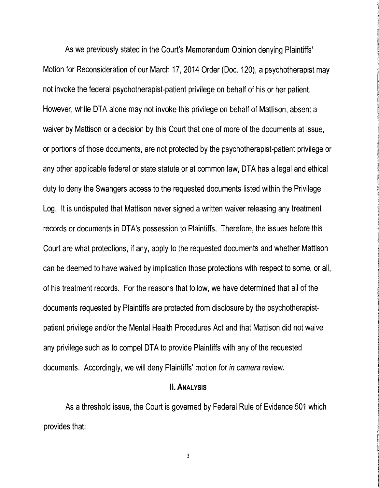As we previously stated in the Court's Memorandum Opinion denying Plaintiffs' Motion for Reconsideration of our March 17, 2014 Order (Doc. 120), a psychotherapist may not invoke the federal psychotherapist-patient privilege on behalf of his or her patient. However, while DTA alone may not invoke this privilege on behalf of Mattison, absent a waiver by Mattison or a decision by this Court that one of more of the documents at issue, or portions of those documents, are not protected by the psychotherapist-patient privilege or any other applicable federal or state statute or at common law, DTA has a legal and ethical duty to deny the Swangers access to the requested documents listed within the Privilege Log. It is undisputed that Mattison never signed a written waiver releasing any treatment records or documents in DTA's possession to Plaintiffs. Therefore, the issues before this Court are what protections, if any, apply to the requested documents and whether Mattison can be deemed to have waived by implication those protections with respect to some, or all, of his treatment records. For the reasons that follow, we have determined that all of the documents requested by Plaintiffs are protected from disclosure by the psychotherapistpatient privilege and/or the Mental Health Procedures Act and that Mattison did not waive any privilege such as to compel DTA to provide Plaintiffs with any of the requested documents. Accordingly, we will deny Plaintiffs' motion for in camera review.

#### II. ANALYSIS

As athreshold issue, the Court is governed by Federal Rule of Evidence 501 which provides that: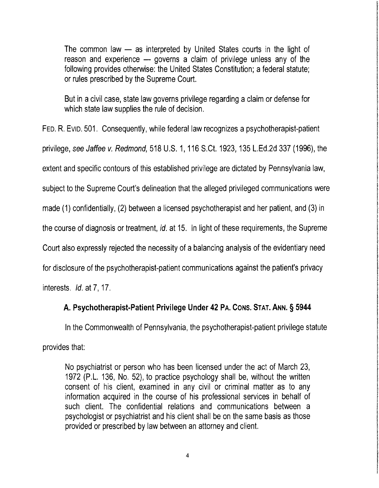The common law  $-$  as interpreted by United States courts in the light of reason and experience  $-$  governs a claim of privilege unless any of the following provides otherwise: the United States Constitution; a federal statute; or rules prescribed by the Supreme Court.

But in a civil case, state law governs privilege regarding a claim or defense for which state law supplies the rule of decision.

FED. R. EVID. 501. Consequently, while federal law recognizes a psychotherapist-patient privilege, see Jaffee v. Redmond, 518 U.S. 1,116 S.Ct. 1923, 135 L.Ed.2d 337 (1996), the extent and specific contours of this established privilege are dictated by Pennsylvania law,

subject to the Supreme Court's delineation that the alleged privileged communications were

made (1) confidentially, (2) between a licensed psychotherapist and her patient, and (3) in

the course of diagnosis or treatment, id. at 15. In light of these requirements, the Supreme

Court also expressly rejected the necessity of a balancing analysis of the evidentiary need

for disclosure of the psychotherapist-patient communications against the patient's privacy

interests. *Id.* at 7, 17.

## A. Psychotherapist·Patient Privilege Under 42 PA. CONS. STAT. ANN. § 5944

In the Commonwealth of Pennsylvania, the psychotherapist-patient privilege statute

provides that:

No psychiatrist or person who has been licensed under the act of March 23, 1972 (P.L. 136, No. 52), to practice psychology shall be, without the written consent of his client, examined in any civil or criminal matter as to any information acquired in the course of his professional services in behalf of such client. The confidential relations and communications between a psychologist or psychiatrist and his client shall be on the same basis as those provided or prescribed by law between an attorney and client.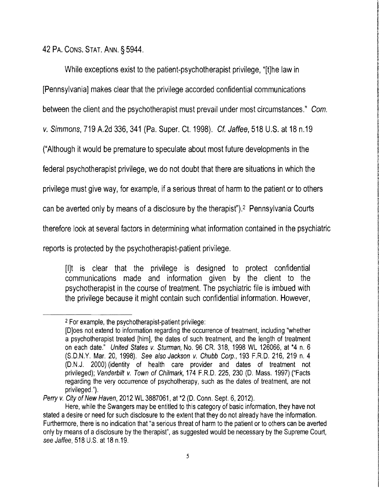42 PA. CONS. STAT. ANN. §5944.

While exceptions exist to the patient-psychotherapist privilege, "[t]he law in

[PennsylvaniaJ makes clear that the privilege accorded confidential communications

between the client and the psychotherapist must prevail under most circumstances." Com.

V. Simmons, 719 A.2d 336, 341 (Pa. Super. ct. 1998). Cf. Jaffee, 518 U.S. at 18 n.19

("Although it would be premature to speculate about most future developments in the

federal psychotherapist privilege, we do not doubt that there are situations in which the

privilege must give way, for example, if aserious threat of harm to the patient or to others

can be averted only by means of a disclosure by the therapist").<sup>2</sup> Pennsylvania Courts

therefore look at several factors in determining what information contained in the psychiatric

reports is protected by the psychotherapist-patient privilege.

[IJt is clear that the privilege is designed to protect confidential communications made and information given by the client to the psychotherapist in the course of treatment. The psychiatric file is imbued with the privilege because it might contain such confidential information. However,

Perry v. City of New Haven, 2012 WL 3887061, at \*2 (D. Conn. Sept. 6, 2012).

<sup>&</sup>lt;sup>2</sup> For example, the psychotherapist-patient privilege:

<sup>[</sup>D]oes not extend to information regarding the occurrence of treatment, including "whether a psychotherapist treated [him], the dates of such treatment, and the length of treatment on each date." United States v. Sturman, No. 96 CR. 318, 1998 WL 126066, at \*4 n. 6 (S.D.N.Y. Mar. 20, 1998). See also Jackson *v.* Chubb Corp., 193 F.R.D. 216, 219 n. 4 (D.N.J. 2000) (identity of health care provider and dates of treatment not privileged); Vanderbilt *v.* Town of Chilmark, 174 F.R.D. 225, 230 (D. Mass. 1997) ("Facts regarding the very occurrence of psychotherapy, such as the dates of treatment, are not privileged.").

Here, while the Swangers may be entitled to this category of basic information, they have not stated a desire or need for such disclosure to the extent that they do not already have the information. Furthermore, there is no indication that "a serious threat of harm to the patient or to others can be averted only by means of adisclosure by the therapist", as suggested would be necessary by the Supreme Court, see Jaffee, 518 U.S. at 18 n.19.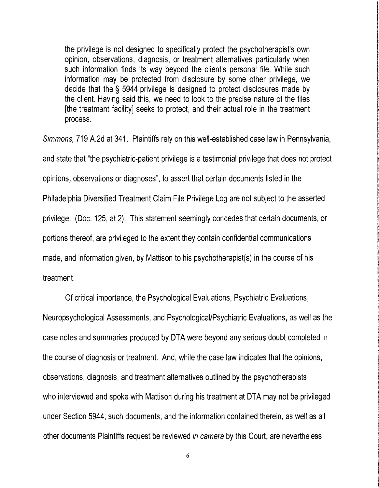the privilege is not designed to specifically protect the psychotherapist's own opinion, observations, diagnosis, or treatment alternatives particularly when such information finds its way beyond the client's personal file. While such information may be protected from disclosure by some other privilege, we decide that the § 5944 privilege is designed to protect disclosures made by the client. Having said this, we need to look to the precise nature of the files [the treatment facility] seeks to protect, and their actual role in the treatment process.

Simmons, 719 A.2d at 341. Plaintiffs rely on this well-established case law in Pennsylvania, and state that "the psychiatric-patient privilege is a testimonial privilege that does not protect opinions, observations or diagnoses", to assert that certain documents listed in the Philadelphia Diversified Treatment Claim File Privilege Log are not subject to the asserted privilege. (Doc. 125, at 2). This statement seemingly concedes that certain documents, or portions thereof, are privileged to the extent they contain confidential communications made, and information given, by Mattison to his psychotherapist(s) in the course of his treatment.

Of critical importance, the Psychological Evaluations, Psychiatric Evaluations,

Neuropsychological Assessments, and Psychological/Psychiatric Evaluations, as well as the case notes and summaries produced by DTA were beyond any serious doubt completed in the course of diagnosis or treatment. And, while the case law indicates that the opinions, observations, diagnosis, and treatment alternatives outlined by the psychotherapists who interviewed and spoke with Mattison during his treatment at DTA may not be privileged under Section 5944, such documents, and the information contained therein, as well as all other documents Plaintiffs request be reviewed in camera by this Court, are nevertheless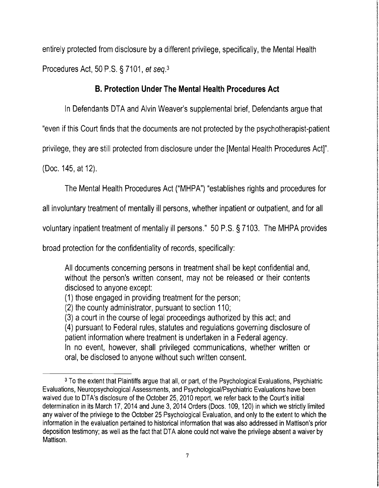entirely protected from disclosure by a different privilege, specifically, the Mental Health Procedures Act, 50 P.S. § 7101, et seq.3

## **B. Protection Under The Mental Health Procedures Act**

In Defendants DTA and Alvin Weaver's supplemental brief, Defendants argue that

"even if this Court finds that the documents are not protected by the psychotherapist-patient

privilege, they are still protected from disclosure under the [Mental Health Procedures Act]".

(Doc. 145, at 12).

The Mental Health Procedures Act ("MHPA") "establishes rights and procedures for

all involuntary treatment of mentally ill persons, whether inpatient or outpatient, and for all

voluntary inpatient treatment of mentally ill persons." 50 P.S. § 7103. The MHPA provides

broad protection for the confidentiality of records, specifically:

All documents concerning persons in treatment shall be kept confidential and, without the person's written consent, may not be released or their contents disclosed to anyone except:

(1) those engaged in providing treatment for the person;

(2) the county administrator, pursuant to section 110;

(3) a court in the course of legal proceedings authorized by this act; and (4) pursuant to Federal rules, statutes and regulations governing disclosure of patient information where treatment is undertaken in a Federal agency. In no event, however, shall privileged communications, whether written or oral, be disclosed to anyone without such written consent.

<sup>3</sup> To the extent that Plaintiffs argue that all, or part, of the Psychological Evaluations, Psychiatric Evaluations, Neuropsychological Assessments, and Psychological/Psychiatric Evaluations have been waived due to DTA's disclosure of the October 25, 2010 report, we refer back to the Court's initial determination in its March 17, 2014 and June 3,2014 Orders (Docs. 109, 120) in which we strictly limited any waiver of the privilege to the October 25 Psychological Evaluation, and only to the extent to which the information in the evaluation pertained to historical information that was also addressed in Mattison's prior deposition testimony; as well as the fact that DTA alone could not waive the privilege absent a waiver by Mattison.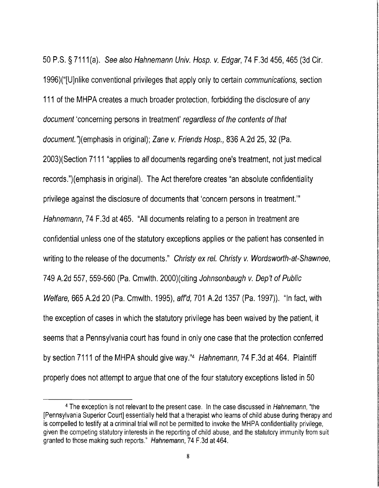50 P.S. § 7111 (a). See also Hahnemann Univ. Hosp. v. Edgar, 74 F.3d 456, 465 (3d Cir. 1996)("[U]nlike conventional privileges that apply only to certain communications, section 111 of the MHPA creates a much broader protection, forbidding the disclosure of any document 'concerning persons in treatment' regardless of the contents of that document. '}(emphasis in original); Zane v. Friends Hosp., 836 A.2d 25, 32 (Pa. 2003)(Section 7111 "applies to all documents regarding one's treatment, not just medical records.")(emphasis in original). The Act therefore creates "an absolute confidentiality privilege against the disclosure of documents that 'concern persons in treatment.'" Hahnemann, 74 F.3d at 465. "All documents relating to a person in treatment are confidential unless one of the statutory exceptions applies or the patient has consented in writing to the release of the documents." Christy ex rel. Christy v. Wordsworth-at-Shawnee, 749 A.2d 557, 559-560 (Pa. Cmwlth. 2000)(citing Johnsonbaugh v. Dep't of Public Welfare, 665 A.2d 20 (Pa. Cmwlth. 1995), aff'd, 701 A.2d 1357 (Pa. 1997)). "In fact, with the exception of cases in which the statutory privilege has been waived by the patient, it seems that a Pennsylvania court has found in only one case that the protection conferred by section 7111 of the MHPA should give way."4 Hahnemann, 74 F.3d at 464. Plaintiff properly does not attempt to argue that one of the four statutory exceptions listed in 50

<sup>4</sup> The exception is not relevant to the present case. In the case discussed in Hahnemann, "the [Pennsylvania Superior Court] essentially held that a therapist who learns of child abuse during therapy and is compelled to testify at acriminal trial will not be permitted to invoke the MHPA confidentiality privilege, given the competing statutory interests in the reporting of child abuse, and the statutory immunity from suit granted to those making such reports." Hahnemann, 74 F.3d at 464.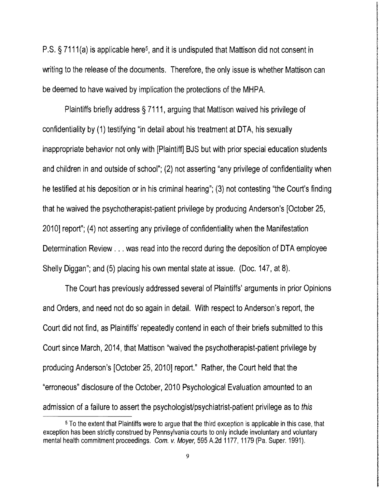P.S. § 7111(a) is applicable here<sup>5</sup>, and it is undisputed that Mattison did not consent in writing to the release of the documents. Therefore, the only issue is whether Mattison can be deemed to have waived by implication the protections of the MHPA.

Plaintiffs briefly address § 7111, arguing that Mattison waived his privilege of confidentiality by (1) testifying "in detail about his treatment at DTA, his sexually inappropriate behavior not only with [Plaintiff] BJS but with prior special education students and children in and outside of school"; (2) not asserting "any privilege of confidentiality when he testified at his deposition or in his criminal hearing"; (3) not contesting "the Court's finding that he waived the psychotherapist-patient privilege by producing Anderson's [October 25, 2010] report"; (4) not asserting any privilege of confidentiality when the Manifestation Deterrnination Review ... was read into the record during the deposition of DTA employee Shelly Diggan"; and (5) placing his own mental state at issue. (Doc. 147, at 8).

The Court has previously addressed several of Plaintiffs' arguments in prior Opinions and Orders, and need not do so again in detail. With respect to Anderson's report, the Court did not find, as Plaintiffs' repeatedly contend in each of their briefs submitted to this Court since March, 2014, that Mattison "waived the psychotherapist-patient privilege by producing Anderson's [October 25, 2010] report." Rather, the Court held that the "erroneous" disclosure of the October, 2010 Psychological Evaluation amounted to an admission of a failure to assert the psychologist/psychiatrist-patient privilege as to this

<sup>5</sup> To the extent that Plaintiffs were to argue that the third exception is applicable in this case, that exception has been strictly construed by Pennsylvania courts to only include involuntary and voluntary mental health commitment proceedings. Com. v. Moyer, 595 A.2d 1177, 1179 (Pa. Super. 1991).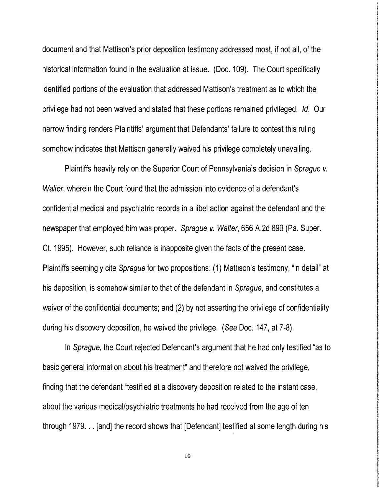document and that Mattison's prior deposition testimony addressed most, if not all, of the <br>historical information found in the evaluation at issue. (Doc. 109). The Court specifically identified portions of the evaluation that addressed Mattison's treatment as to which the privilege had not been waived and stated that these portions remained privileged. Id. Our narrow finding renders Plaintiffs' argument that Defendants' failure to contest this ruling somehow indicates that Mattison generally waived his privilege completely unavailing.

**International Contemporary Contemporary** 

li Abrahamperana di Maria

**Irakan di Kabupaten**<br>Irakan

Plaintiffs heavily rely on the Superior Court of Pennsylvania's decision in Sprague v. Walter, wherein the Court found that the admission into evidence of a defendant's confidential medical and psychiatric records in a libel action against the defendant and the newspaper that employed him was proper. Sprague v. Walter, 656 A.2d 890 (Pa. Super. Ct. 1995). However, such reliance is inapposite given the facts of the present case. Plaintiffs seemingly cite Sprague for two propositions: (1) Mattison's testimony, "in detail" at his deposition, is somehow similar to that of the defendant in Sprague, and constitutes a waiver of the confidential documents; and (2) by not asserting the privilege of confidentiality during his discovery deposition, he waived the privilege. (See Doc. 147, at 7-8).

In Sprague, the Court rejected Defendant's argument that he had only testified "as to basic general information about his treatment" and therefore not waived the privilege, finding that the defendant "testified at a discovery deposition related to the instant case, about the various medical/psychiatric treatments he had received from the age of ten through 1979... [and] the record shows that [Defendant] testified at some length during his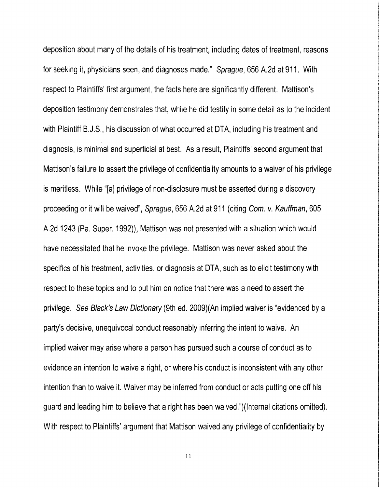deposition about many of the details of his treatment, including dates of treatment, reasons for seeking it, physicians seen, and diagnoses made." Sprague, 656 A.2d at 911. With respect to Plaintiffs' first argument, the facts here are significantly different. Mattison's deposition testimony demonstrates that, while he did testify in some detail as to the incident with Plaintiff B.J.S., his discussion of what occurred at DTA, including his treatment and diagnosis, is minimal and superficial at best. As a result, Plaintiffs' second argument that Mattison's failure to assert the privilege of confidentiality amounts to a waiver of his privilege is meritless. While "[a] privilege of non-disclosure must be asserted during a discovery proceeding or it will be waived", Sprague, 656 A.2d at 911 (citing Com. v. Kauffman, 605 A.2d 1243 (Pa. Super. 1992)), Mattison was not presented with asituation which would have necessitated that he invoke the privilege. Mattison was never asked about the specifics of his treatment, activities, or diagnosis at DTA, such as to elicit testimony with respect to these topics and to put him on notice that there was a need to assert the privilege. See Black's Law Dictionary (9th ed. 2009)(An implied waiver is "evidenced by a party's decisive, unequivocal conduct reasonably inferring the intent to waive. An implied waiver may arise where a person has pursued such acourse of conduct as to evidence an intention to waive a right, or where his conduct is inconsistent with any other intention than to waive it. Waiver may be inferred from conduct or acts putting one off his guard and leading him to believe that a right has been waived.")(lnternal citations omitted). With respect to Plaintiffs' argument that Mattison waived any privilege of confidentiality by

II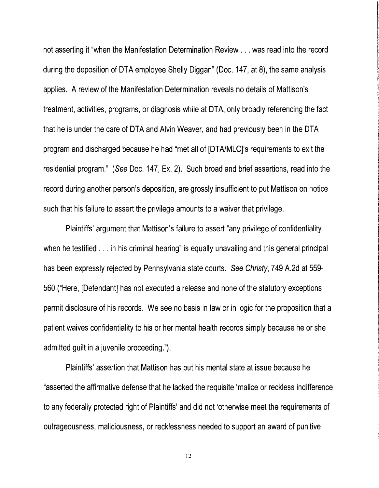not asserting it "when the Manifestation Determination Review ... was read into the record during the deposition of DTA employee Shelly Diggan" (Doc. 147, at 8), the same analysis applies. A review of the Manifestation Determination reveals no details of Mattison's treatment, activities, programs, or diagnosis while at DTA, only broadly referencing the fact that he is under the care of DTA and Alvin Weaver, and had previously been in the DTA program and discharged because he had "met all of [DTAIMLC]'s requirements to exit the residential program." (See Doc. 147, Ex. 2). Such broad and brief assertions, read into the record during another person's deposition, are grossly insufficient to put Mattison on notice such that his failure to assert the privilege amounts to awaiver that privilege.

Plaintiffs' argument that Mattison's failure to assert "any privilege of confidentiality when he testified . . . in his criminal hearing" is equally unavailing and this general principal has been expressly rejected by Pennsylvania state courts. See Christy, 749 A.2d at 559- 560 ("Here, [Defendant] has not executed a release and none of the statutory exceptions permit disclosure of his records. We see no basis in law or in logic for the proposition that a patient waives confidentiality to his or her mental health records simply because he or she admitted guilt in a juvenile proceeding.").

Plaintiffs' assertion that Mattison has put his mental state at issue because he "asserted the affirmative defense that he lacked the requisite 'malice or reckless indifference to any federally protected right of Plaintiffs' and did not 'otherwise meet the requirements of outrageousness, maliciousness, or recklessness needed to support an award of punitive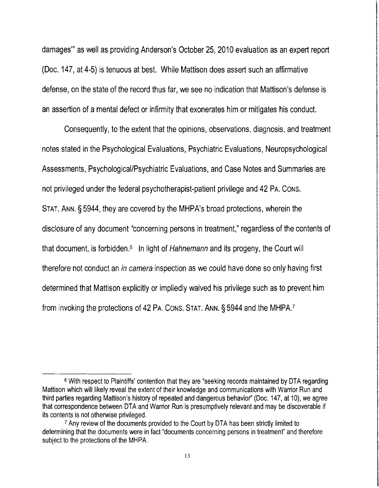damages'" as well as providing Anderson's October 25, 2010 evaluation as an expert report (Doc. 147, at 45) is tenuous at best. While Mattison does assert such an affirmative defense, on the state of the record thus far, we see no indication that Mattison's defense is an assertion of amental defect or infirmity that exonerates him or mitigates his conduct.

Consequently, to the extent that the opinions, observations, diagnosis, and treatment notes stated in the Psychological Evaluations, Psychiatric Evaluations, Neuropsychological Assessments, Psychological/Psychiatric Evaluations, and Case Notes and Summaries are not privileged under the federal psychotherapist-patient privilege and 42 PA. CONS. STAT. ANN. §5944, they are covered by the MHPA's broad protections, wherein the disclosure of any document "concerning persons in treatment," regardless of the contents of that document, is forbidden. $6$  In light of Hahnemann and its progeny, the Court will therefore not conduct an in camera inspection as we could have done so only having first determined that Mattison explicitly or impliedly waived his privilege such as to prevent him from invoking the protections of 42 PA. CONS. STAT. ANN. § 5944 and the MHPA.<sup>7</sup>

<sup>6</sup> With respect to Plaintiffs' contention that they are "seeking records maintained by DTA regarding Mattison which will likely reveal the extent of their knowledge and communications with Warrior Run and third parties regarding Mattison's history of repeated and dangerous behavior" (Doc. 147, at 10), we agree that correspondence between DTA and Warrior Run is presumptively relevant and may be discoverable if its contents is not otherwise privileged.

<sup>7</sup> Any review of the documents provided to the Court by DTA has been strictly limited to determining that the documents were in fact "documents concerning persons in treatment" and therefore subject to the protections of the MHPA.